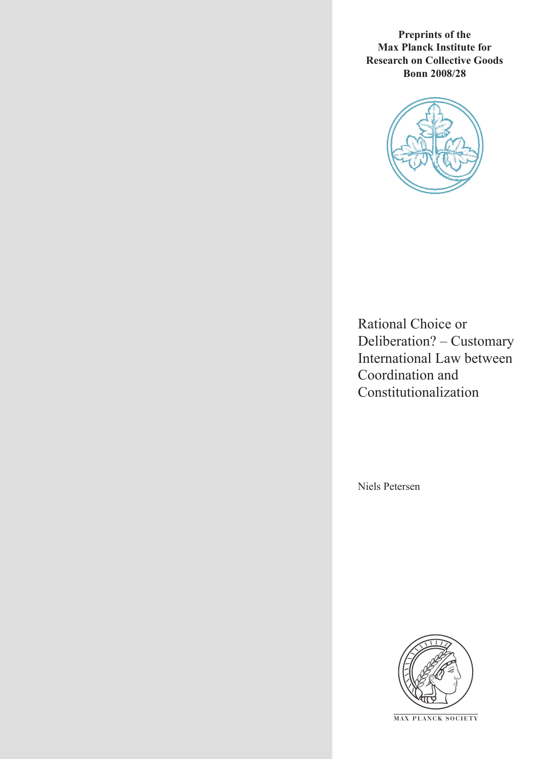**Preprints of the Max Planck Institute for Research on Collective Goods Bonn 2008/28**



Rational Choice or Deliberation? – Customary International Law between Coordination and Constitutionalization

Niels Petersen



**M AX P L A N C K S O C I E T Y**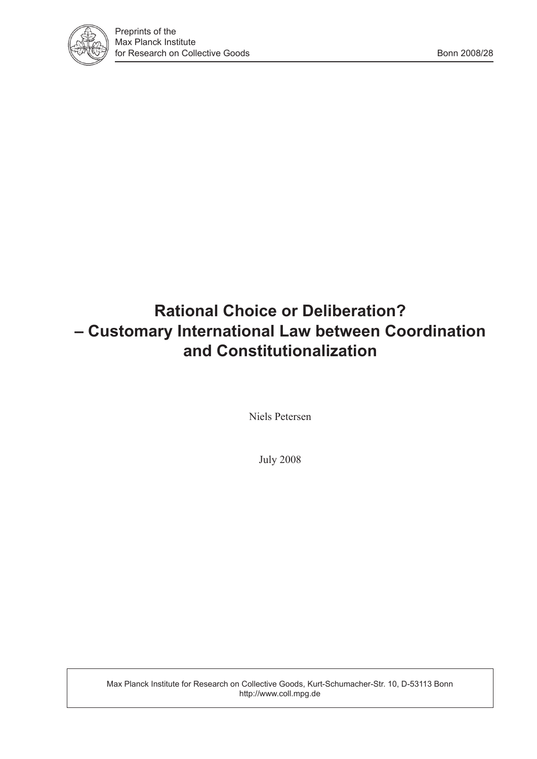

# **Rational Choice or Deliberation? – Customary International Law between Coordination and Constitutionalization**

Niels Petersen

July 2008

Max Planck Institute for Research on Collective Goods, Kurt-Schumacher-Str. 10, D-53113 Bonn http://www.coll.mpg.de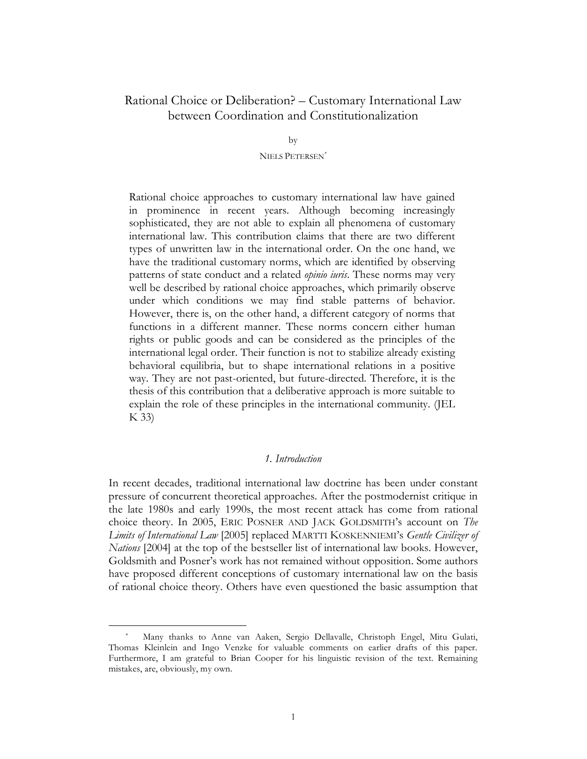# Rational Choice or Deliberation? – Customary International Law between Coordination and Constitutionalization

by

NIELS PETERSEN*\**

Rational choice approaches to customary international law have gained in prominence in recent years. Although becoming increasingly sophisticated, they are not able to explain all phenomena of customary international law. This contribution claims that there are two different types of unwritten law in the international order. On the one hand, we have the traditional customary norms, which are identified by observing patterns of state conduct and a related *opinio iuris*. These norms may very well be described by rational choice approaches, which primarily observe under which conditions we may find stable patterns of behavior. However, there is, on the other hand, a different category of norms that functions in a different manner. These norms concern either human rights or public goods and can be considered as the principles of the international legal order. Their function is not to stabilize already existing behavioral equilibria, but to shape international relations in a positive way. They are not past-oriented, but future-directed. Therefore, it is the thesis of this contribution that a deliberative approach is more suitable to explain the role of these principles in the international community. (JEL K 33)

#### *1. Introduction*

In recent decades, traditional international law doctrine has been under constant pressure of concurrent theoretical approaches. After the postmodernist critique in the late 1980s and early 1990s, the most recent attack has come from rational choice theory. In 2005, ERIC POSNER AND JACK GOLDSMITH's account on *The Limits of International Law* [2005] replaced MARTTI KOSKENNIEMI's *Gentle Civilizer of Nations* [2004] at the top of the bestseller list of international law books. However, Goldsmith and Posner's work has not remained without opposition. Some authors have proposed different conceptions of customary international law on the basis of rational choice theory. Others have even questioned the basic assumption that

Many thanks to Anne van Aaken, Sergio Dellavalle, Christoph Engel, Mitu Gulati, Thomas Kleinlein and Ingo Venzke for valuable comments on earlier drafts of this paper. Furthermore, I am grateful to Brian Cooper for his linguistic revision of the text. Remaining mistakes, are, obviously, my own.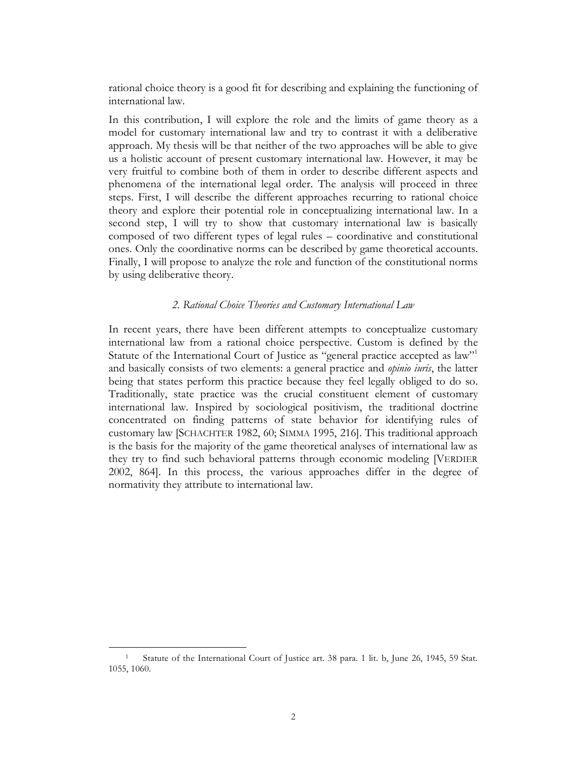rational choice theory is a good fit for describing and explaining the functioning of international law.

In this contribution, I will explore the role and the limits of game theory as a model for customary international law and try to contrast it with a deliberative approach. My thesis will be that neither of the two approaches will be able to give us a holistic account of present customary international law. However, it may be very fruitful to combine both of them in order to describe different aspects and phenomena of the international legal order. The analysis will proceed in three steps. First, I will describe the different approaches recurring to rational choice theory and explore their potential role in conceptualizing international law. In a second step, I will try to show that customary international law is basically composed of two different types of legal rules – coordinative and constitutional ones. Only the coordinative norms can be described by game theoretical accounts. Finally, I will propose to analyze the role and function of the constitutional norms by using deliberative theory.

### *2. Rational Choice Theories and Customary International Law*

In recent years, there have been different attempts to conceptualize customary international law from a rational choice perspective. Custom is defined by the Statute of the International Court of Justice as "general practice accepted as law"1 and basically consists of two elements: a general practice and *opinio iuris*, the latter being that states perform this practice because they feel legally obliged to do so. Traditionally, state practice was the crucial constituent element of customary international law. Inspired by sociological positivism, the traditional doctrine concentrated on finding patterns of state behavior for identifying rules of customary law [SCHACHTER 1982, 60; SIMMA 1995, 216]. This traditional approach is the basis for the majority of the game theoretical analyses of international law as they try to find such behavioral patterns through economic modeling [VERDIER 2002, 864]. In this process, the various approaches differ in the degree of normativity they attribute to international law.

Statute of the International Court of Justice art. 38 para. 1 lit. b, June 26, 1945, 59 Stat. 1055, 1060.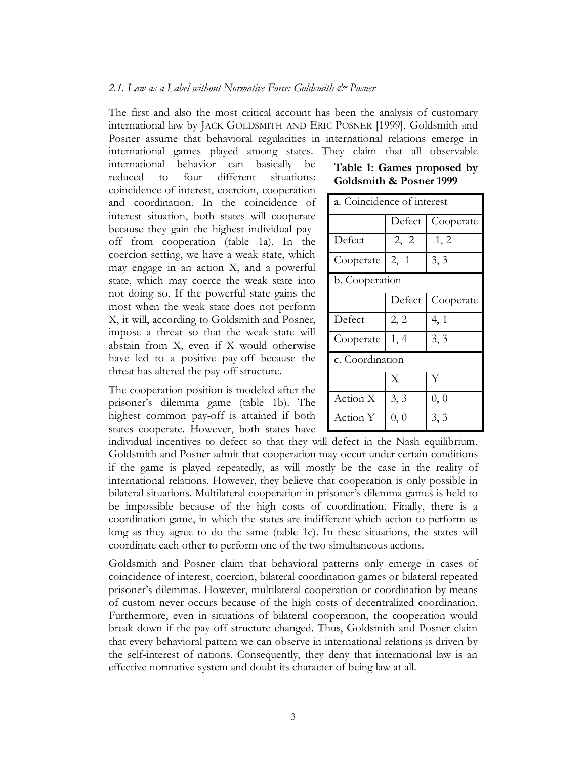#### *2.1. Law as a Label without Normative Force: Goldsmith & Posner*

The first and also the most critical account has been the analysis of customary international law by JACK GOLDSMITH AND ERIC POSNER [1999]. Goldsmith and Posner assume that behavioral regularities in international relations emerge in international games played among states. They claim that all observable

international behavior can basically be reduced to four different situations: coincidence of interest, coercion, cooperation and coordination. In the coincidence of interest situation, both states will cooperate because they gain the highest individual payoff from cooperation (table 1a). In the coercion setting, we have a weak state, which may engage in an action X, and a powerful state, which may coerce the weak state into not doing so. If the powerful state gains the most when the weak state does not perform X, it will, according to Goldsmith and Posner, impose a threat so that the weak state will abstain from X, even if X would otherwise have led to a positive pay-off because the threat has altered the pay-off structure.

The cooperation position is modeled after the prisoner's dilemma game (table 1b). The highest common pay-off is attained if both states cooperate. However, both states have

**Table 1: Games proposed by Goldsmith & Posner 1999**

| a. Coincidence of interest |          |           |  |  |
|----------------------------|----------|-----------|--|--|
|                            | Defect   | Cooperate |  |  |
| Defect                     | $-2, -2$ | $-1, 2$   |  |  |
| Cooperate                  | $2, -1$  | 3, 3      |  |  |
| b. Cooperation             |          |           |  |  |
|                            | Defect   | Cooperate |  |  |
| Defect                     | 2, 2     | 4, 1      |  |  |
| Cooperate                  | 1, 4     | 3, 3      |  |  |
| c. Coordination            |          |           |  |  |
|                            | X        | Y         |  |  |
| Action X                   | 3, 3     | 0, 0      |  |  |
| Action Y                   | 0, 0     | 3, 3      |  |  |

individual incentives to defect so that they will defect in the Nash equilibrium. Goldsmith and Posner admit that cooperation may occur under certain conditions if the game is played repeatedly, as will mostly be the case in the reality of international relations. However, they believe that cooperation is only possible in bilateral situations. Multilateral cooperation in prisoner's dilemma games is held to be impossible because of the high costs of coordination. Finally, there is a coordination game, in which the states are indifferent which action to perform as long as they agree to do the same (table 1c). In these situations, the states will coordinate each other to perform one of the two simultaneous actions.

Goldsmith and Posner claim that behavioral patterns only emerge in cases of coincidence of interest, coercion, bilateral coordination games or bilateral repeated prisoner's dilemmas. However, multilateral cooperation or coordination by means of custom never occurs because of the high costs of decentralized coordination. Furthermore, even in situations of bilateral cooperation, the cooperation would break down if the pay-off structure changed. Thus, Goldsmith and Posner claim that every behavioral pattern we can observe in international relations is driven by the self-interest of nations. Consequently, they deny that international law is an effective normative system and doubt its character of being law at all.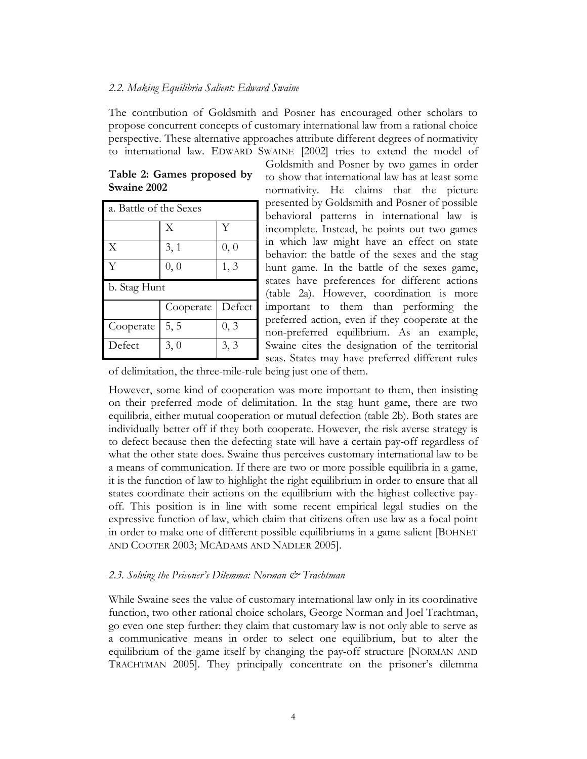#### *2.2. Making Equilibria Salient: Edward Swaine*

The contribution of Goldsmith and Posner has encouraged other scholars to propose concurrent concepts of customary international law from a rational choice perspective. These alternative approaches attribute different degrees of normativity to international law. EDWARD SWAINE [2002] tries to extend the model of

| Table 2: Games proposed by |  |
|----------------------------|--|
| Swaine 2002                |  |

| a. Battle of the Sexes |           |        |  |  |
|------------------------|-----------|--------|--|--|
|                        | X         | Y      |  |  |
| X                      | 3, 1      | 0, 0   |  |  |
| Y                      | 0, 0      | 1, 3   |  |  |
| b. Stag Hunt           |           |        |  |  |
|                        |           |        |  |  |
|                        | Cooperate | Defect |  |  |
| Cooperate              | 5, 5      | 0, 3   |  |  |

Goldsmith and Posner by two games in order to show that international law has at least some normativity. He claims that the picture presented by Goldsmith and Posner of possible behavioral patterns in international law is incomplete. Instead, he points out two games in which law might have an effect on state behavior: the battle of the sexes and the stag hunt game. In the battle of the sexes game, states have preferences for different actions (table 2a). However, coordination is more important to them than performing the preferred action, even if they cooperate at the non-preferred equilibrium. As an example, Swaine cites the designation of the territorial seas. States may have preferred different rules

of delimitation, the three-mile-rule being just one of them.

However, some kind of cooperation was more important to them, then insisting on their preferred mode of delimitation. In the stag hunt game, there are two equilibria, either mutual cooperation or mutual defection (table 2b). Both states are individually better off if they both cooperate. However, the risk averse strategy is to defect because then the defecting state will have a certain pay-off regardless of what the other state does. Swaine thus perceives customary international law to be a means of communication. If there are two or more possible equilibria in a game, it is the function of law to highlight the right equilibrium in order to ensure that all states coordinate their actions on the equilibrium with the highest collective payoff. This position is in line with some recent empirical legal studies on the expressive function of law, which claim that citizens often use law as a focal point in order to make one of different possible equilibriums in a game salient [BOHNET AND COOTER 2003; MCADAMS AND NADLER 2005].

#### *2.3. Solving the Prisoner's Dilemma: Norman & Trachtman*

While Swaine sees the value of customary international law only in its coordinative function, two other rational choice scholars, George Norman and Joel Trachtman, go even one step further: they claim that customary law is not only able to serve as a communicative means in order to select one equilibrium, but to alter the equilibrium of the game itself by changing the pay-off structure [NORMAN AND TRACHTMAN 2005]. They principally concentrate on the prisoner's dilemma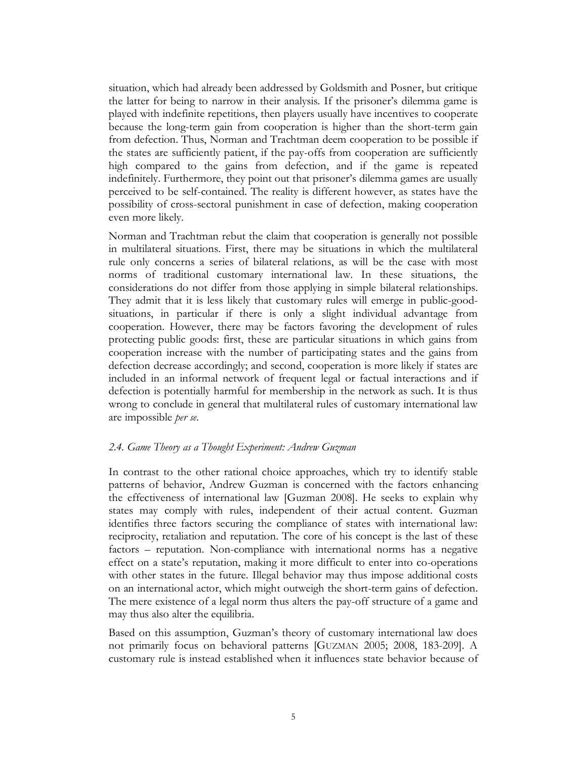situation, which had already been addressed by Goldsmith and Posner, but critique the latter for being to narrow in their analysis. If the prisoner's dilemma game is played with indefinite repetitions, then players usually have incentives to cooperate because the long-term gain from cooperation is higher than the short-term gain from defection. Thus, Norman and Trachtman deem cooperation to be possible if the states are sufficiently patient, if the pay-offs from cooperation are sufficiently high compared to the gains from defection, and if the game is repeated indefinitely. Furthermore, they point out that prisoner's dilemma games are usually perceived to be self-contained. The reality is different however, as states have the possibility of cross-sectoral punishment in case of defection, making cooperation even more likely.

Norman and Trachtman rebut the claim that cooperation is generally not possible in multilateral situations. First, there may be situations in which the multilateral rule only concerns a series of bilateral relations, as will be the case with most norms of traditional customary international law. In these situations, the considerations do not differ from those applying in simple bilateral relationships. They admit that it is less likely that customary rules will emerge in public-goodsituations, in particular if there is only a slight individual advantage from cooperation. However, there may be factors favoring the development of rules protecting public goods: first, these are particular situations in which gains from cooperation increase with the number of participating states and the gains from defection decrease accordingly; and second, cooperation is more likely if states are included in an informal network of frequent legal or factual interactions and if defection is potentially harmful for membership in the network as such. It is thus wrong to conclude in general that multilateral rules of customary international law are impossible *per se*.

### *2.4. Game Theory as a Thought Experiment: Andrew Guzman*

In contrast to the other rational choice approaches, which try to identify stable patterns of behavior, Andrew Guzman is concerned with the factors enhancing the effectiveness of international law [Guzman 2008]. He seeks to explain why states may comply with rules, independent of their actual content. Guzman identifies three factors securing the compliance of states with international law: reciprocity, retaliation and reputation. The core of his concept is the last of these factors – reputation. Non-compliance with international norms has a negative effect on a state's reputation, making it more difficult to enter into co-operations with other states in the future. Illegal behavior may thus impose additional costs on an international actor, which might outweigh the short-term gains of defection. The mere existence of a legal norm thus alters the pay-off structure of a game and may thus also alter the equilibria.

Based on this assumption, Guzman's theory of customary international law does not primarily focus on behavioral patterns [GUZMAN 2005; 2008, 183-209]. A customary rule is instead established when it influences state behavior because of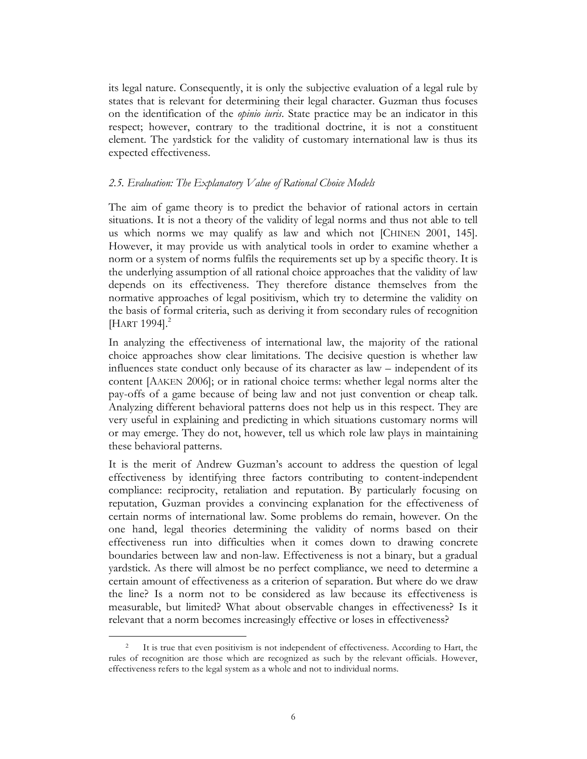its legal nature. Consequently, it is only the subjective evaluation of a legal rule by states that is relevant for determining their legal character. Guzman thus focuses on the identification of the *opinio iuris*. State practice may be an indicator in this respect; however, contrary to the traditional doctrine, it is not a constituent element. The yardstick for the validity of customary international law is thus its expected effectiveness.

#### *2.5. Evaluation: The Explanatory Value of Rational Choice Models*

The aim of game theory is to predict the behavior of rational actors in certain situations. It is not a theory of the validity of legal norms and thus not able to tell us which norms we may qualify as law and which not [CHINEN 2001, 145]. However, it may provide us with analytical tools in order to examine whether a norm or a system of norms fulfils the requirements set up by a specific theory. It is the underlying assumption of all rational choice approaches that the validity of law depends on its effectiveness. They therefore distance themselves from the normative approaches of legal positivism, which try to determine the validity on the basis of formal criteria, such as deriving it from secondary rules of recognition [HART 1994].<sup>2</sup>

In analyzing the effectiveness of international law, the majority of the rational choice approaches show clear limitations. The decisive question is whether law influences state conduct only because of its character as law – independent of its content [AAKEN 2006]; or in rational choice terms: whether legal norms alter the pay-offs of a game because of being law and not just convention or cheap talk. Analyzing different behavioral patterns does not help us in this respect. They are very useful in explaining and predicting in which situations customary norms will or may emerge. They do not, however, tell us which role law plays in maintaining these behavioral patterns.

It is the merit of Andrew Guzman's account to address the question of legal effectiveness by identifying three factors contributing to content-independent compliance: reciprocity, retaliation and reputation. By particularly focusing on reputation, Guzman provides a convincing explanation for the effectiveness of certain norms of international law. Some problems do remain, however. On the one hand, legal theories determining the validity of norms based on their effectiveness run into difficulties when it comes down to drawing concrete boundaries between law and non-law. Effectiveness is not a binary, but a gradual yardstick. As there will almost be no perfect compliance, we need to determine a certain amount of effectiveness as a criterion of separation. But where do we draw the line? Is a norm not to be considered as law because its effectiveness is measurable, but limited? What about observable changes in effectiveness? Is it relevant that a norm becomes increasingly effective or loses in effectiveness?

<sup>&</sup>lt;sup>2</sup> It is true that even positivism is not independent of effectiveness. According to Hart, the rules of recognition are those which are recognized as such by the relevant officials. However, effectiveness refers to the legal system as a whole and not to individual norms.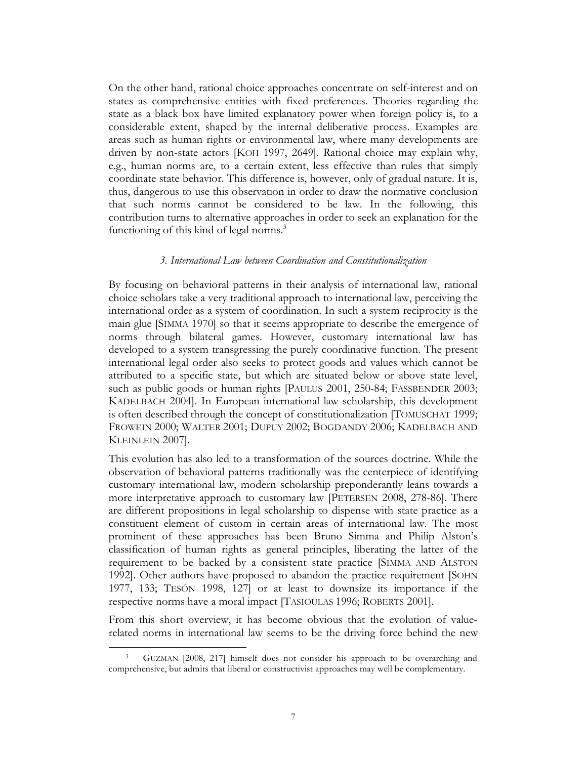On the other hand, rational choice approaches concentrate on self-interest and on states as comprehensive entities with fixed preferences. Theories regarding the state as a black box have limited explanatory power when foreign policy is, to a considerable extent, shaped by the internal deliberative process. Examples are areas such as human rights or environmental law, where many developments are driven by non-state actors [KOH 1997, 2649]. Rational choice may explain why, e.g., human norms are, to a certain extent, less effective than rules that simply coordinate state behavior. This difference is, however, only of gradual nature. It is, thus, dangerous to use this observation in order to draw the normative conclusion that such norms cannot be considered to be law. In the following, this contribution turns to alternative approaches in order to seek an explanation for the functioning of this kind of legal norms.<sup>3</sup>

#### *3. International Law between Coordination and Constitutionalization*

By focusing on behavioral patterns in their analysis of international law, rational choice scholars take a very traditional approach to international law, perceiving the international order as a system of coordination. In such a system reciprocity is the main glue [SIMMA 1970] so that it seems appropriate to describe the emergence of norms through bilateral games. However, customary international law has developed to a system transgressing the purely coordinative function. The present international legal order also seeks to protect goods and values which cannot be attributed to a specific state, but which are situated below or above state level, such as public goods or human rights [PAULUS 2001, 250-84; FASSBENDER 2003; KADELBACH 2004]. In European international law scholarship, this development is often described through the concept of constitutionalization [TOMUSCHAT 1999; FROWEIN 2000; WALTER 2001; DUPUY 2002; BOGDANDY 2006; KADELBACH AND KLEINLEIN 2007].

This evolution has also led to a transformation of the sources doctrine. While the observation of behavioral patterns traditionally was the centerpiece of identifying customary international law, modern scholarship preponderantly leans towards a more interpretative approach to customary law [PETERSEN 2008, 278-86]. There are different propositions in legal scholarship to dispense with state practice as a constituent element of custom in certain areas of international law. The most prominent of these approaches has been Bruno Simma and Philip Alston's classification of human rights as general principles, liberating the latter of the requirement to be backed by a consistent state practice [SIMMA AND ALSTON 1992]. Other authors have proposed to abandon the practice requirement [SOHN 1977, 133; TESÓN 1998, 127] or at least to downsize its importance if the respective norms have a moral impact [TASIOULAS 1996; ROBERTS 2001].

From this short overview, it has become obvious that the evolution of valuerelated norms in international law seems to be the driving force behind the new

 <sup>3</sup> GUZMAN [2008, 217] himself does not consider his approach to be overarching and comprehensive, but admits that liberal or constructivist approaches may well be complementary.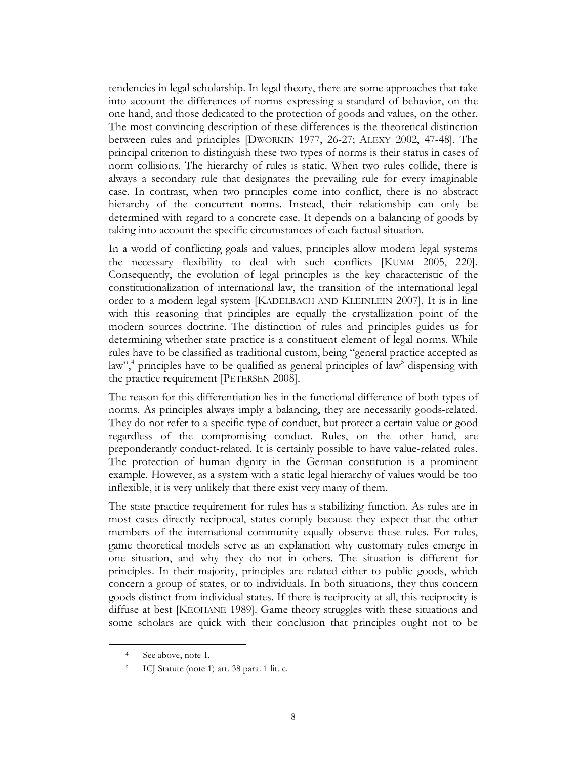tendencies in legal scholarship. In legal theory, there are some approaches that take into account the differences of norms expressing a standard of behavior, on the one hand, and those dedicated to the protection of goods and values, on the other. The most convincing description of these differences is the theoretical distinction between rules and principles [DWORKIN 1977, 26-27; ALEXY 2002, 47-48]. The principal criterion to distinguish these two types of norms is their status in cases of norm collisions. The hierarchy of rules is static. When two rules collide, there is always a secondary rule that designates the prevailing rule for every imaginable case. In contrast, when two principles come into conflict, there is no abstract hierarchy of the concurrent norms. Instead, their relationship can only be determined with regard to a concrete case. It depends on a balancing of goods by taking into account the specific circumstances of each factual situation.

In a world of conflicting goals and values, principles allow modern legal systems the necessary flexibility to deal with such conflicts [KUMM 2005, 220]. Consequently, the evolution of legal principles is the key characteristic of the constitutionalization of international law, the transition of the international legal order to a modern legal system [KADELBACH AND KLEINLEIN 2007]. It is in line with this reasoning that principles are equally the crystallization point of the modern sources doctrine. The distinction of rules and principles guides us for determining whether state practice is a constituent element of legal norms. While rules have to be classified as traditional custom, being "general practice accepted as law",<sup>4</sup> principles have to be qualified as general principles of law<sup>5</sup> dispensing with the practice requirement [PETERSEN 2008].

The reason for this differentiation lies in the functional difference of both types of norms. As principles always imply a balancing, they are necessarily goods-related. They do not refer to a specific type of conduct, but protect a certain value or good regardless of the compromising conduct. Rules, on the other hand, are preponderantly conduct-related. It is certainly possible to have value-related rules. The protection of human dignity in the German constitution is a prominent example. However, as a system with a static legal hierarchy of values would be too inflexible, it is very unlikely that there exist very many of them.

The state practice requirement for rules has a stabilizing function. As rules are in most cases directly reciprocal, states comply because they expect that the other members of the international community equally observe these rules. For rules, game theoretical models serve as an explanation why customary rules emerge in one situation, and why they do not in others. The situation is different for principles. In their majority, principles are related either to public goods, which concern a group of states, or to individuals. In both situations, they thus concern goods distinct from individual states. If there is reciprocity at all, this reciprocity is diffuse at best [KEOHANE 1989]. Game theory struggles with these situations and some scholars are quick with their conclusion that principles ought not to be

 <sup>4</sup> See above, note 1.

<sup>5</sup> ICJ Statute (note 1) art. 38 para. 1 lit. c.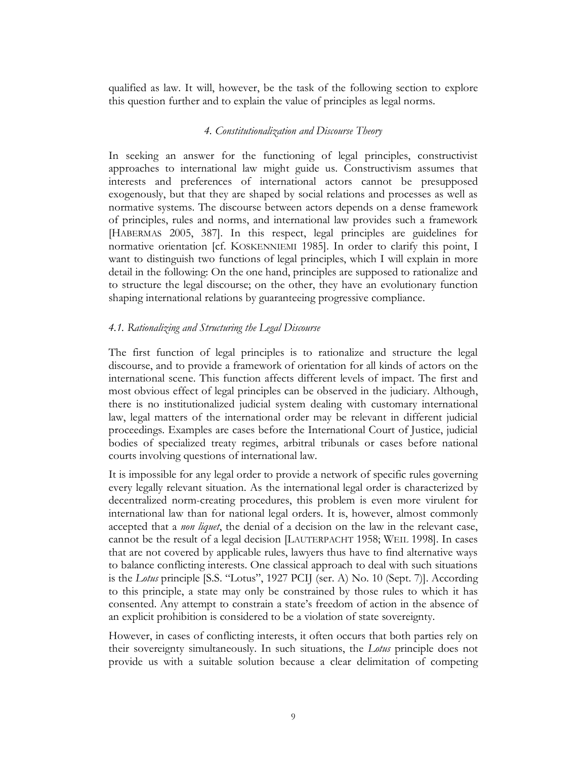qualified as law. It will, however, be the task of the following section to explore this question further and to explain the value of principles as legal norms.

### *4. Constitutionalization and Discourse Theory*

In seeking an answer for the functioning of legal principles, constructivist approaches to international law might guide us. Constructivism assumes that interests and preferences of international actors cannot be presupposed exogenously, but that they are shaped by social relations and processes as well as normative systems. The discourse between actors depends on a dense framework of principles, rules and norms, and international law provides such a framework [HABERMAS 2005, 387]. In this respect, legal principles are guidelines for normative orientation [cf. KOSKENNIEMI 1985]. In order to clarify this point, I want to distinguish two functions of legal principles, which I will explain in more detail in the following: On the one hand, principles are supposed to rationalize and to structure the legal discourse; on the other, they have an evolutionary function shaping international relations by guaranteeing progressive compliance.

# *4.1. Rationalizing and Structuring the Legal Discourse*

The first function of legal principles is to rationalize and structure the legal discourse, and to provide a framework of orientation for all kinds of actors on the international scene. This function affects different levels of impact. The first and most obvious effect of legal principles can be observed in the judiciary. Although, there is no institutionalized judicial system dealing with customary international law, legal matters of the international order may be relevant in different judicial proceedings. Examples are cases before the International Court of Justice, judicial bodies of specialized treaty regimes, arbitral tribunals or cases before national courts involving questions of international law.

It is impossible for any legal order to provide a network of specific rules governing every legally relevant situation. As the international legal order is characterized by decentralized norm-creating procedures, this problem is even more virulent for international law than for national legal orders. It is, however, almost commonly accepted that a *non liquet*, the denial of a decision on the law in the relevant case, cannot be the result of a legal decision [LAUTERPACHT 1958; WEIL 1998]. In cases that are not covered by applicable rules, lawyers thus have to find alternative ways to balance conflicting interests. One classical approach to deal with such situations is the *Lotus* principle [S.S. "Lotus", 1927 PCIJ (ser. A) No. 10 (Sept. 7)]. According to this principle, a state may only be constrained by those rules to which it has consented. Any attempt to constrain a state's freedom of action in the absence of an explicit prohibition is considered to be a violation of state sovereignty.

However, in cases of conflicting interests, it often occurs that both parties rely on their sovereignty simultaneously. In such situations, the *Lotus* principle does not provide us with a suitable solution because a clear delimitation of competing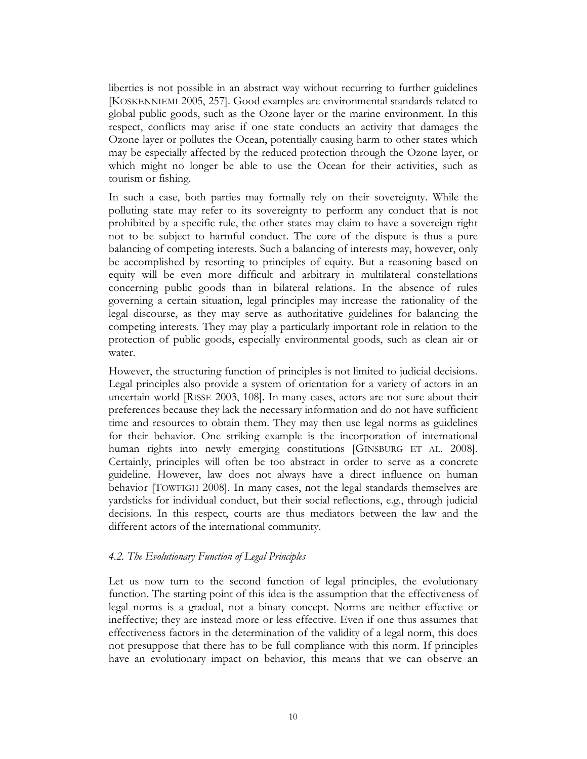liberties is not possible in an abstract way without recurring to further guidelines [KOSKENNIEMI 2005, 257]. Good examples are environmental standards related to global public goods, such as the Ozone layer or the marine environment. In this respect, conflicts may arise if one state conducts an activity that damages the Ozone layer or pollutes the Ocean, potentially causing harm to other states which may be especially affected by the reduced protection through the Ozone layer, or which might no longer be able to use the Ocean for their activities, such as tourism or fishing.

In such a case, both parties may formally rely on their sovereignty. While the polluting state may refer to its sovereignty to perform any conduct that is not prohibited by a specific rule, the other states may claim to have a sovereign right not to be subject to harmful conduct. The core of the dispute is thus a pure balancing of competing interests. Such a balancing of interests may, however, only be accomplished by resorting to principles of equity. But a reasoning based on equity will be even more difficult and arbitrary in multilateral constellations concerning public goods than in bilateral relations. In the absence of rules governing a certain situation, legal principles may increase the rationality of the legal discourse, as they may serve as authoritative guidelines for balancing the competing interests. They may play a particularly important role in relation to the protection of public goods, especially environmental goods, such as clean air or water.

However, the structuring function of principles is not limited to judicial decisions. Legal principles also provide a system of orientation for a variety of actors in an uncertain world [RISSE 2003, 108]. In many cases, actors are not sure about their preferences because they lack the necessary information and do not have sufficient time and resources to obtain them. They may then use legal norms as guidelines for their behavior. One striking example is the incorporation of international human rights into newly emerging constitutions [GINSBURG ET AL. 2008]. Certainly, principles will often be too abstract in order to serve as a concrete guideline. However, law does not always have a direct influence on human behavior [TOWFIGH 2008]. In many cases, not the legal standards themselves are yardsticks for individual conduct, but their social reflections, e.g., through judicial decisions. In this respect, courts are thus mediators between the law and the different actors of the international community.

### *4.2. The Evolutionary Function of Legal Principles*

Let us now turn to the second function of legal principles, the evolutionary function. The starting point of this idea is the assumption that the effectiveness of legal norms is a gradual, not a binary concept. Norms are neither effective or ineffective; they are instead more or less effective. Even if one thus assumes that effectiveness factors in the determination of the validity of a legal norm, this does not presuppose that there has to be full compliance with this norm. If principles have an evolutionary impact on behavior, this means that we can observe an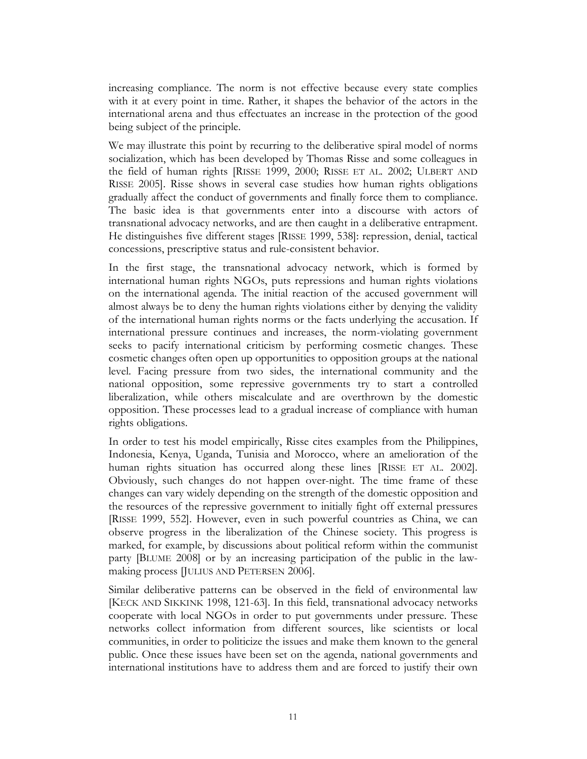increasing compliance. The norm is not effective because every state complies with it at every point in time. Rather, it shapes the behavior of the actors in the international arena and thus effectuates an increase in the protection of the good being subject of the principle.

We may illustrate this point by recurring to the deliberative spiral model of norms socialization, which has been developed by Thomas Risse and some colleagues in the field of human rights [RISSE 1999, 2000; RISSE ET AL. 2002; ULBERT AND RISSE 2005]. Risse shows in several case studies how human rights obligations gradually affect the conduct of governments and finally force them to compliance. The basic idea is that governments enter into a discourse with actors of transnational advocacy networks, and are then caught in a deliberative entrapment. He distinguishes five different stages [RISSE 1999, 538]: repression, denial, tactical concessions, prescriptive status and rule-consistent behavior.

In the first stage, the transnational advocacy network, which is formed by international human rights NGOs, puts repressions and human rights violations on the international agenda. The initial reaction of the accused government will almost always be to deny the human rights violations either by denying the validity of the international human rights norms or the facts underlying the accusation. If international pressure continues and increases, the norm-violating government seeks to pacify international criticism by performing cosmetic changes. These cosmetic changes often open up opportunities to opposition groups at the national level. Facing pressure from two sides, the international community and the national opposition, some repressive governments try to start a controlled liberalization, while others miscalculate and are overthrown by the domestic opposition. These processes lead to a gradual increase of compliance with human rights obligations.

In order to test his model empirically, Risse cites examples from the Philippines, Indonesia, Kenya, Uganda, Tunisia and Morocco, where an amelioration of the human rights situation has occurred along these lines [RISSE ET AL. 2002]. Obviously, such changes do not happen over-night. The time frame of these changes can vary widely depending on the strength of the domestic opposition and the resources of the repressive government to initially fight off external pressures [RISSE 1999, 552]. However, even in such powerful countries as China, we can observe progress in the liberalization of the Chinese society. This progress is marked, for example, by discussions about political reform within the communist party [BLUME 2008] or by an increasing participation of the public in the lawmaking process [JULIUS AND PETERSEN 2006].

Similar deliberative patterns can be observed in the field of environmental law [KECK AND SIKKINK 1998, 121-63]. In this field, transnational advocacy networks cooperate with local NGOs in order to put governments under pressure. These networks collect information from different sources, like scientists or local communities, in order to politicize the issues and make them known to the general public. Once these issues have been set on the agenda, national governments and international institutions have to address them and are forced to justify their own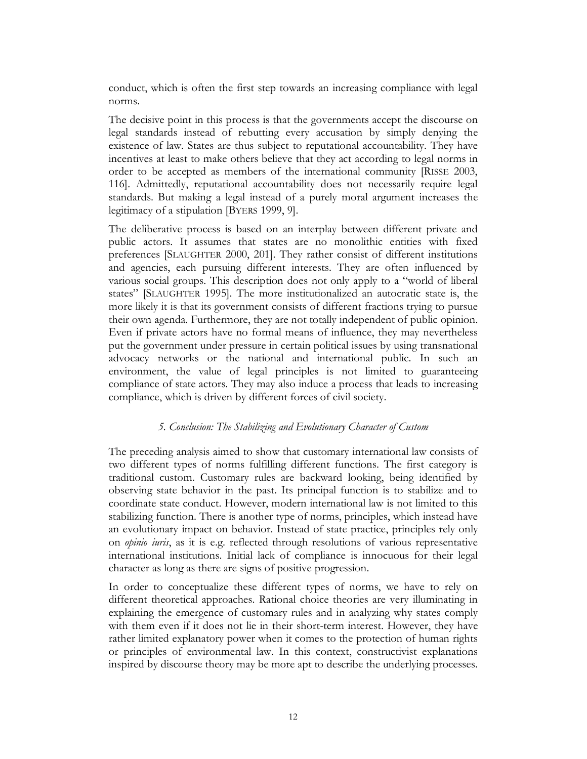conduct, which is often the first step towards an increasing compliance with legal norms.

The decisive point in this process is that the governments accept the discourse on legal standards instead of rebutting every accusation by simply denying the existence of law. States are thus subject to reputational accountability. They have incentives at least to make others believe that they act according to legal norms in order to be accepted as members of the international community [RISSE 2003, 116]. Admittedly, reputational accountability does not necessarily require legal standards. But making a legal instead of a purely moral argument increases the legitimacy of a stipulation [BYERS 1999, 9].

The deliberative process is based on an interplay between different private and public actors. It assumes that states are no monolithic entities with fixed preferences [SLAUGHTER 2000, 201]. They rather consist of different institutions and agencies, each pursuing different interests. They are often influenced by various social groups. This description does not only apply to a "world of liberal states" [SLAUGHTER 1995]. The more institutionalized an autocratic state is, the more likely it is that its government consists of different fractions trying to pursue their own agenda. Furthermore, they are not totally independent of public opinion. Even if private actors have no formal means of influence, they may nevertheless put the government under pressure in certain political issues by using transnational advocacy networks or the national and international public. In such an environment, the value of legal principles is not limited to guaranteeing compliance of state actors. They may also induce a process that leads to increasing compliance, which is driven by different forces of civil society.

# *5. Conclusion: The Stabilizing and Evolutionary Character of Custom*

The preceding analysis aimed to show that customary international law consists of two different types of norms fulfilling different functions. The first category is traditional custom. Customary rules are backward looking, being identified by observing state behavior in the past. Its principal function is to stabilize and to coordinate state conduct. However, modern international law is not limited to this stabilizing function. There is another type of norms, principles, which instead have an evolutionary impact on behavior. Instead of state practice, principles rely only on *opinio iuris*, as it is e.g. reflected through resolutions of various representative international institutions. Initial lack of compliance is innocuous for their legal character as long as there are signs of positive progression.

In order to conceptualize these different types of norms, we have to rely on different theoretical approaches. Rational choice theories are very illuminating in explaining the emergence of customary rules and in analyzing why states comply with them even if it does not lie in their short-term interest. However, they have rather limited explanatory power when it comes to the protection of human rights or principles of environmental law. In this context, constructivist explanations inspired by discourse theory may be more apt to describe the underlying processes.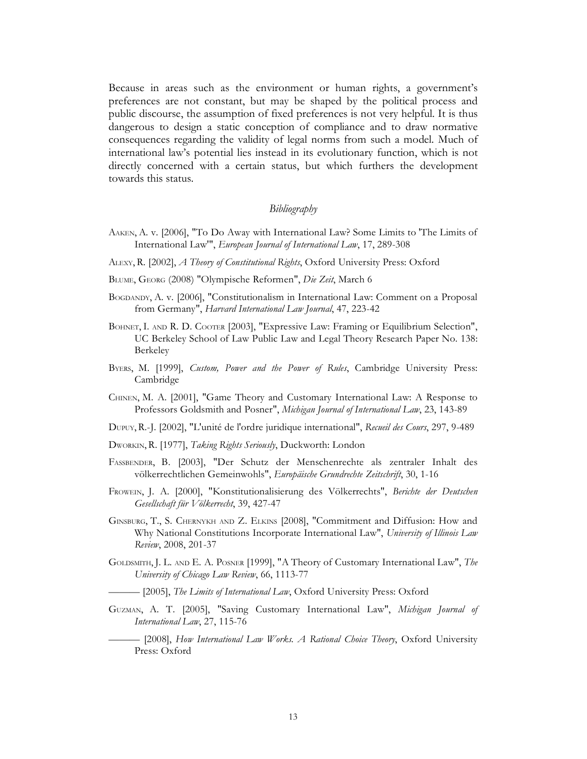Because in areas such as the environment or human rights, a government's preferences are not constant, but may be shaped by the political process and public discourse, the assumption of fixed preferences is not very helpful. It is thus dangerous to design a static conception of compliance and to draw normative consequences regarding the validity of legal norms from such a model. Much of international law's potential lies instead in its evolutionary function, which is not directly concerned with a certain status, but which furthers the development towards this status.

#### *Bibliography*

- AAKEN, A. v. [2006], "To Do Away with International Law? Some Limits to 'The Limits of International Law'", *European Journal of International Law*, 17, 289-308
- ALEXY, R. [2002], *A Theory of Constitutional Rights*, Oxford University Press: Oxford
- BLUME, GEORG (2008) "Olympische Reformen", *Die Zeit*, March 6
- BOGDANDY, A. v. [2006], "Constitutionalism in International Law: Comment on a Proposal from Germany", *Harvard International Law Journal*, 47, 223-42
- BOHNET, I. AND R. D. COOTER [2003], "Expressive Law: Framing or Equilibrium Selection", UC Berkeley School of Law Public Law and Legal Theory Research Paper No. 138: Berkeley
- BYERS, M. [1999], *Custom, Power and the Power of Rules*, Cambridge University Press: Cambridge
- CHINEN, M. A. [2001], "Game Theory and Customary International Law: A Response to Professors Goldsmith and Posner", *Michigan Journal of International Law*, 23, 143-89
- DUPUY, R.-J. [2002], "L'unité de l'ordre juridique international", *Recueil des Cours*, 297, 9-489
- DWORKIN, R. [1977], *Taking Rights Seriously*, Duckworth: London
- FASSBENDER, B. [2003], "Der Schutz der Menschenrechte als zentraler Inhalt des völkerrechtlichen Gemeinwohls", *Europäische Grundrechte Zeitschrift*, 30, 1-16
- FROWEIN, J. A. [2000], "Konstitutionalisierung des Völkerrechts", *Berichte der Deutschen Gesellschaft für Völkerrecht*, 39, 427-47
- GINSBURG, T., S. CHERNYKH AND Z. ELKINS [2008], "Commitment and Diffusion: How and Why National Constitutions Incorporate International Law", *University of Illinois Law Review*, 2008, 201-37
- GOLDSMITH, J. L. AND E. A. POSNER [1999], "A Theory of Customary International Law", *The University of Chicago Law Review*, 66, 1113-77
	- ——— [2005], *The Limits of International Law*, Oxford University Press: Oxford
- GUZMAN, A. T. [2005], "Saving Customary International Law", *Michigan Journal of International Law*, 27, 115-76
	- ——— [2008], *How International Law Works. A Rational Choice Theory*, Oxford University Press: Oxford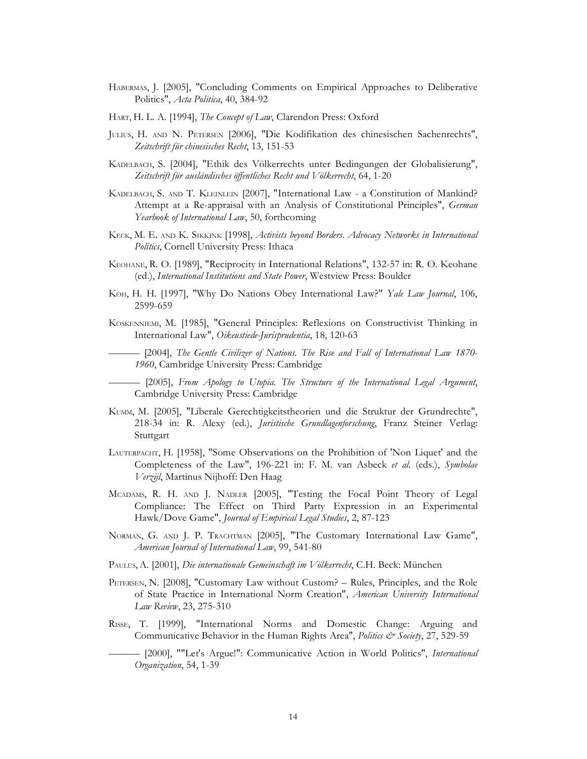- HABERMAS, J. [2005], "Concluding Comments on Empirical Approaches to Deliberative Politics", *Acta Politica*, 40, 384-92
- HART, H. L. A. [1994], *The Concept of Law*, Clarendon Press: Oxford
- JULIUS, H. AND N. PETERSEN [2006], "Die Kodifikation des chinesischen Sachenrechts", *Zeitschrift für chinesisches Recht*, 13, 151-53
- KADELBACH, S. [2004], "Ethik des Völkerrechts unter Bedingungen der Globalisierung", *Zeitschrift für ausländisches öffentliches Recht und Völkerrecht*, 64, 1-20
- KADELBACH, S. AND T. KLEINLEIN [2007], "International Law a Constitution of Mankind? Attempt at a Re-appraisal with an Analysis of Constitutional Principles", *German Yearbook of International Law*, 50, forthcoming
- KECK, M. E. AND K. SIKKINK [1998], *Activists beyond Borders. Advocacy Networks in International Politics*, Cornell University Press: Ithaca
- KEOHANE, R. O. [1989], "Reciprocity in International Relations", 132-57 in: R. O. Keohane (ed.), *International Institutions and State Power*, Westview Press: Boulder
- KOH, H. H. [1997], "Why Do Nations Obey International Law?" *Yale Law Journal*, 106, 2599-659
- KOSKENNIEMI, M. [1985], "General Principles: Reflexions on Constructivist Thinking in International Law", *Oikeustiede-Jurisprudentia*, 18, 120-63

——— [2004], *The Gentle Civilizer of Nations. The Rise and Fall of International Law 1870- 1960*, Cambridge University Press: Cambridge

——— [2005], *From Apology to Utopia. The Structure of the International Legal Argument*, Cambridge University Press: Cambridge

- KUMM, M. [2005], "Liberale Gerechtigkeitstheorien und die Struktur der Grundrechte", 218-34 in: R. Alexy (ed.), *Juristische Grundlagenforschung*, Franz Steiner Verlag: Stuttgart
- LAUTERPACHT, H. [1958], "Some Observations on the Prohibition of 'Non Liquet' and the Completeness of the Law", 196-221 in: F. M. van Asbeck *et al.* (eds.), *Symbolae Verzijl*, Martinus Nijhoff: Den Haag
- MCADAMS, R. H. AND J. NADLER [2005], "Testing the Focal Point Theory of Legal Compliance: The Effect on Third Party Expression in an Experimental Hawk/Dove Game", *Journal of Empirical Legal Studies*, 2, 87-123
- NORMAN, G. AND J. P. TRACHTMAN [2005], "The Customary International Law Game", *American Journal of International Law*, 99, 541-80
- PAULUS,A. [2001], *Die internationale Gemeinschaft im Völkerrecht*, C.H. Beck: München
- PETERSEN, N. [2008], "Customary Law without Custom? Rules, Principles, and the Role of State Practice in International Norm Creation", *American University International Law Review*, 23, 275-310
- RISSE, T. [1999], "International Norms and Domestic Change: Arguing and Communicative Behavior in the Human Rights Area", *Politics & Society*, 27, 529-59
- ——— [2000], ""Let's Argue!": Communicative Action in World Politics", *International Organization*, 54, 1-39